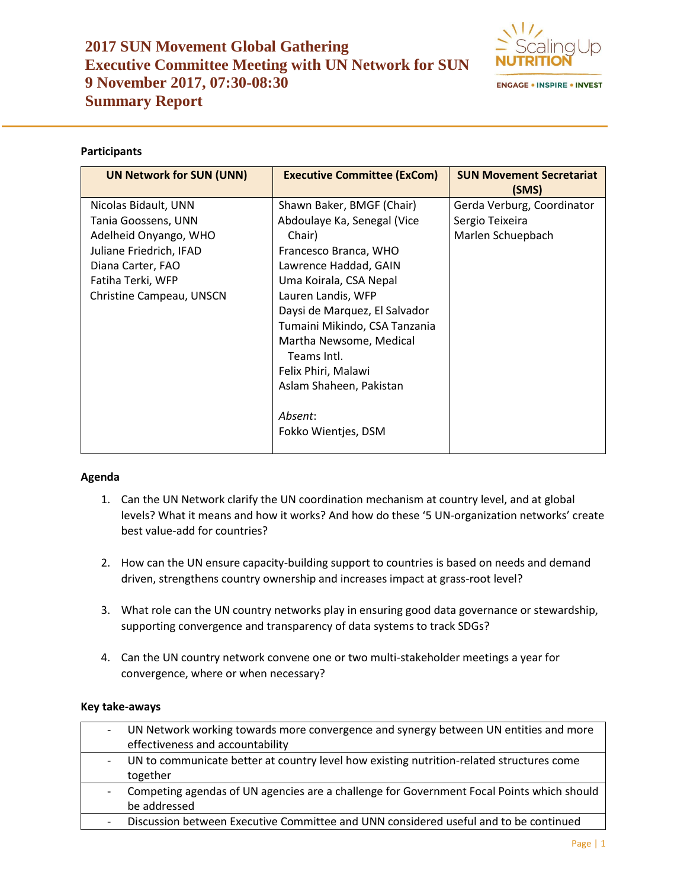# **2017 SUN Movement Global Gathering Executive Committee Meeting with UN Network for SUN 9 November 2017, 07:30-08:30 Summary Report**



## **Participants**

| <b>UN Network for SUN (UNN)</b> | <b>Executive Committee (ExCom)</b> | <b>SUN Movement Secretariat</b><br>(SMS) |  |  |
|---------------------------------|------------------------------------|------------------------------------------|--|--|
| Nicolas Bidault, UNN            | Shawn Baker, BMGF (Chair)          | Gerda Verburg, Coordinator               |  |  |
| Tania Goossens, UNN             | Abdoulaye Ka, Senegal (Vice        | Sergio Teixeira                          |  |  |
| Adelheid Onyango, WHO           | Chair)                             | Marlen Schuepbach                        |  |  |
| Juliane Friedrich, IFAD         | Francesco Branca, WHO              |                                          |  |  |
| Diana Carter, FAO               | Lawrence Haddad, GAIN              |                                          |  |  |
| Fatiha Terki, WFP               | Uma Koirala, CSA Nepal             |                                          |  |  |
| Christine Campeau, UNSCN        | Lauren Landis, WFP                 |                                          |  |  |
|                                 | Daysi de Marquez, El Salvador      |                                          |  |  |
|                                 | Tumaini Mikindo, CSA Tanzania      |                                          |  |  |
|                                 | Martha Newsome, Medical            |                                          |  |  |
|                                 | Teams Intl.                        |                                          |  |  |
|                                 | Felix Phiri, Malawi                |                                          |  |  |
|                                 | Aslam Shaheen, Pakistan            |                                          |  |  |
|                                 |                                    |                                          |  |  |
|                                 | Absent:                            |                                          |  |  |
|                                 | Fokko Wientjes, DSM                |                                          |  |  |
|                                 |                                    |                                          |  |  |

### **Agenda**

- 1. Can the UN Network clarify the UN coordination mechanism at country level, and at global levels? What it means and how it works? And how do these '5 UN-organization networks' create best value-add for countries?
- 2. How can the UN ensure capacity-building support to countries is based on needs and demand driven, strengthens country ownership and increases impact at grass-root level?
- 3. What role can the UN country networks play in ensuring good data governance or stewardship, supporting convergence and transparency of data systems to track SDGs?
- 4. Can the UN country network convene one or two multi-stakeholder meetings a year for convergence, where or when necessary?

### **Key take-aways**

| UN Network working towards more convergence and synergy between UN entities and more      |
|-------------------------------------------------------------------------------------------|
| effectiveness and accountability                                                          |
| UN to communicate better at country level how existing nutrition-related structures come  |
| together                                                                                  |
| Competing agendas of UN agencies are a challenge for Government Focal Points which should |
| be addressed                                                                              |
| Discussion between Executive Committee and UNN considered useful and to be continued      |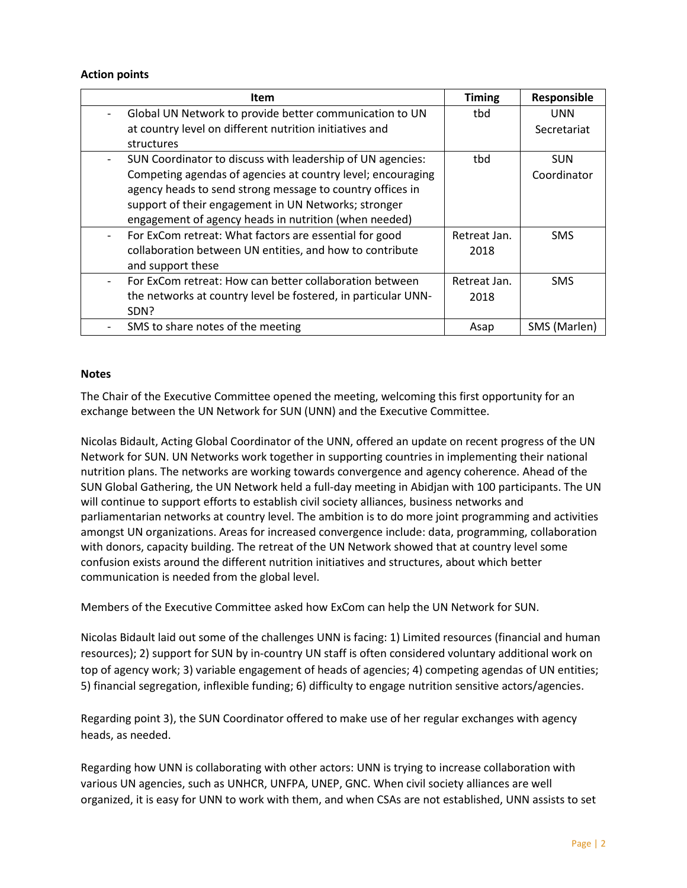### **Action points**

| Item                                                          | <b>Timing</b> | Responsible  |
|---------------------------------------------------------------|---------------|--------------|
| Global UN Network to provide better communication to UN       | tbd           | <b>UNN</b>   |
| at country level on different nutrition initiatives and       |               | Secretariat  |
| structures                                                    |               |              |
| SUN Coordinator to discuss with leadership of UN agencies:    | tbd           | <b>SUN</b>   |
| Competing agendas of agencies at country level; encouraging   |               | Coordinator  |
| agency heads to send strong message to country offices in     |               |              |
| support of their engagement in UN Networks; stronger          |               |              |
| engagement of agency heads in nutrition (when needed)         |               |              |
| For ExCom retreat: What factors are essential for good        | Retreat Jan.  | <b>SMS</b>   |
| collaboration between UN entities, and how to contribute      | 2018          |              |
| and support these                                             |               |              |
| For ExCom retreat: How can better collaboration between       | Retreat Jan.  | <b>SMS</b>   |
| the networks at country level be fostered, in particular UNN- | 2018          |              |
| SDN?                                                          |               |              |
| SMS to share notes of the meeting                             | Asap          | SMS (Marlen) |

#### **Notes**

The Chair of the Executive Committee opened the meeting, welcoming this first opportunity for an exchange between the UN Network for SUN (UNN) and the Executive Committee.

Nicolas Bidault, Acting Global Coordinator of the UNN, offered an update on recent progress of the UN Network for SUN. UN Networks work together in supporting countries in implementing their national nutrition plans. The networks are working towards convergence and agency coherence. Ahead of the SUN Global Gathering, the UN Network held a full-day meeting in Abidjan with 100 participants. The UN will continue to support efforts to establish civil society alliances, business networks and parliamentarian networks at country level. The ambition is to do more joint programming and activities amongst UN organizations. Areas for increased convergence include: data, programming, collaboration with donors, capacity building. The retreat of the UN Network showed that at country level some confusion exists around the different nutrition initiatives and structures, about which better communication is needed from the global level.

Members of the Executive Committee asked how ExCom can help the UN Network for SUN.

Nicolas Bidault laid out some of the challenges UNN is facing: 1) Limited resources (financial and human resources); 2) support for SUN by in-country UN staff is often considered voluntary additional work on top of agency work; 3) variable engagement of heads of agencies; 4) competing agendas of UN entities; 5) financial segregation, inflexible funding; 6) difficulty to engage nutrition sensitive actors/agencies.

Regarding point 3), the SUN Coordinator offered to make use of her regular exchanges with agency heads, as needed.

Regarding how UNN is collaborating with other actors: UNN is trying to increase collaboration with various UN agencies, such as UNHCR, UNFPA, UNEP, GNC. When civil society alliances are well organized, it is easy for UNN to work with them, and when CSAs are not established, UNN assists to set